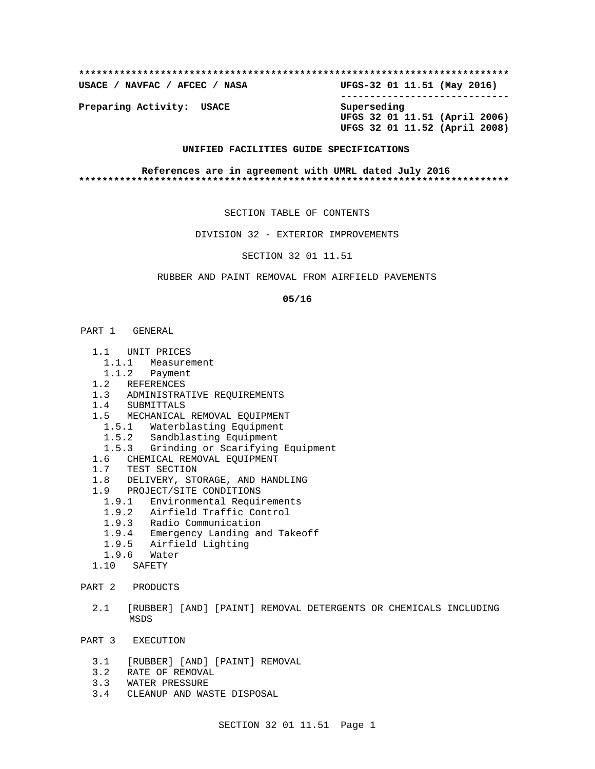**\*\*\*\*\*\*\*\*\*\*\*\*\*\*\*\*\*\*\*\*\*\*\*\*\*\*\*\*\*\*\*\*\*\*\*\*\*\*\*\*\*\*\*\*\*\*\*\*\*\*\*\*\*\*\*\*\*\*\*\*\*\*\*\*\*\*\*\*\*\*\*\*\*\* USACE / NAVFAC / AFCEC / NASA UFGS-32 01 11.51 (May 2016) ----------------------------- Preparing Activity: USACE Superseding** 

 **UFGS 32 01 11.51 (April 2006) UFGS 32 01 11.52 (April 2008)**

## **UNIFIED FACILITIES GUIDE SPECIFICATIONS**

**References are in agreement with UMRL dated July 2016 \*\*\*\*\*\*\*\*\*\*\*\*\*\*\*\*\*\*\*\*\*\*\*\*\*\*\*\*\*\*\*\*\*\*\*\*\*\*\*\*\*\*\*\*\*\*\*\*\*\*\*\*\*\*\*\*\*\*\*\*\*\*\*\*\*\*\*\*\*\*\*\*\*\***

SECTION TABLE OF CONTENTS

DIVISION 32 - EXTERIOR IMPROVEMENTS

## SECTION 32 01 11.51

### RUBBER AND PAINT REMOVAL FROM AIRFIELD PAVEMENTS

#### **05/16**

#### PART 1 GENERAL

- 1.1 UNIT PRICES
- 1.1.1 Measurement
- 1.1.2 Payment
- 1.2 REFERENCES
- 1.3 ADMINISTRATIVE REQUIREMENTS
	- 1.4 SUBMITTALS
	- 1.5 MECHANICAL REMOVAL EQUIPMENT
		- 1.5.1 Waterblasting Equipment
		- 1.5.2 Sandblasting Equipment
	- 1.5.3 Grinding or Scarifying Equipment
	- 1.6 CHEMICAL REMOVAL EQUIPMENT
	- 1.7 TEST SECTION
	- 1.8 DELIVERY, STORAGE, AND HANDLING
	- 1.9 PROJECT/SITE CONDITIONS
		- 1.9.1 Environmental Requirements
- 1.9.2 Airfield Traffic Control
- 1.9.3 Radio Communication
	- 1.9.4 Emergency Landing and Takeoff
	- 1.9.5 Airfield Lighting
	- 1.9.6 Water
	- 1.10 SAFETY
- PART 2 PRODUCTS
	- 2.1 [RUBBER] [AND] [PAINT] REMOVAL DETERGENTS OR CHEMICALS INCLUDING MSDS
- PART 3 EXECUTION
	- 3.1 [RUBBER] [AND] [PAINT] REMOVAL
	- 3.2 RATE OF REMOVAL
	- 3.3 WATER PRESSURE
	- 3.4 CLEANUP AND WASTE DISPOSAL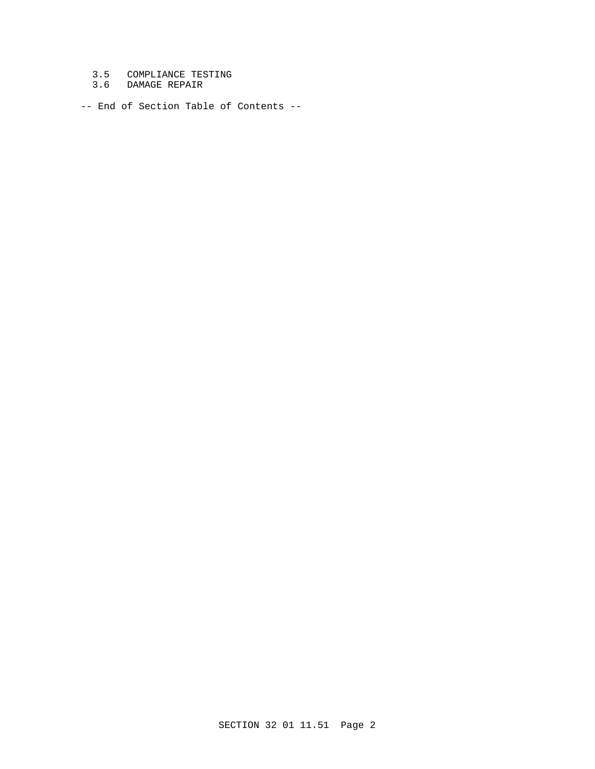- 3.5 COMPLIANCE TESTING
- 3.6 DAMAGE REPAIR

-- End of Section Table of Contents --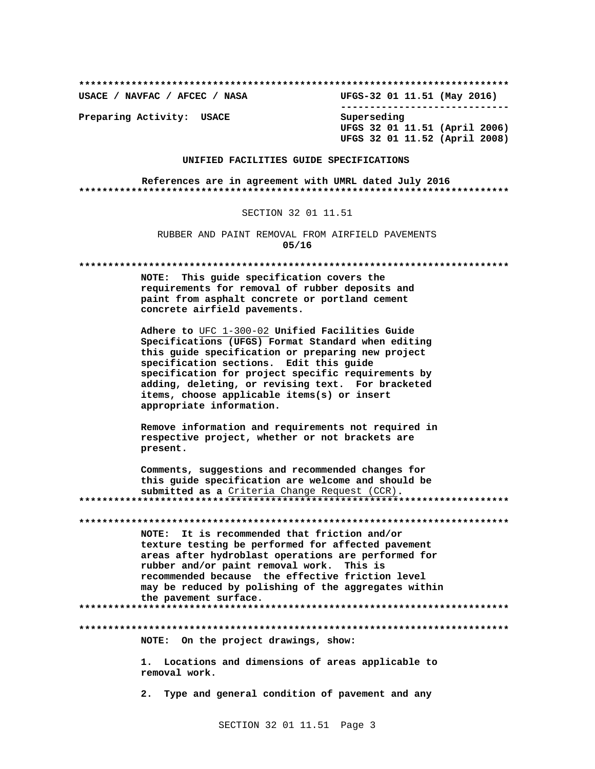USACE / NAVFAC / AFCEC / NASA UFGS-32 01 11.51 (May 2016) ------------------------------

Preparing Activity: USACE

Superseding UFGS 32 01 11.51 (April 2006) UFGS 32 01 11.52 (April 2008)

# UNIFIED FACILITIES GUIDE SPECIFICATIONS

References are in agreement with UMRL dated July 2016 

#### SECTION 32 01 11.51

RUBBER AND PAINT REMOVAL FROM AIRFIELD PAVEMENTS  $05/16$ 

NOTE: This guide specification covers the requirements for removal of rubber deposits and paint from asphalt concrete or portland cement concrete airfield pavements.

Adhere to UFC 1-300-02 Unified Facilities Guide Specifications (UFGS) Format Standard when editing this guide specification or preparing new project specification sections. Edit this guide specification for project specific requirements by adding, deleting, or revising text. For bracketed items, choose applicable items(s) or insert appropriate information.

Remove information and requirements not required in respective project, whether or not brackets are present.

Comments, suggestions and recommended changes for this guide specification are welcome and should be submitted as a Criteria Change Request (CCR). 

NOTE: It is recommended that friction and/or texture testing be performed for affected pavement areas after hydroblast operations are performed for rubber and/or paint removal work. This is recommended because the effective friction level may be reduced by polishing of the aggregates within the pavement surface. 

# NOTE: On the project drawings, show:

1. Locations and dimensions of areas applicable to removal work.

2. Type and general condition of pavement and any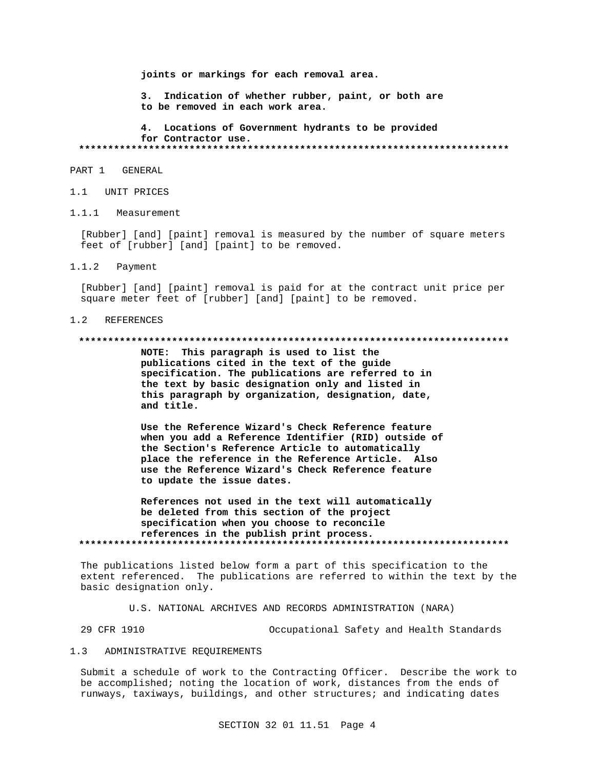joints or markings for each removal area.

3. Indication of whether rubber, paint, or both are to be removed in each work area.

4. Locations of Government hydrants to be provided for Contractor use. 

## PART 1 GENERAL

- 1.1 UNIT PRICES
- $1.1.1$ Measurement

[Rubber] [and] [paint] removal is measured by the number of square meters feet of [rubber] [and] [paint] to be removed.

 $1.1.2$ Payment

> [Rubber] [and] [paint] removal is paid for at the contract unit price per square meter feet of [rubber] [and] [paint] to be removed.

#### REFERENCES  $1.2$

#### 

NOTE: This paragraph is used to list the publications cited in the text of the guide specification. The publications are referred to in the text by basic designation only and listed in this paragraph by organization, designation, date, and title.

Use the Reference Wizard's Check Reference feature when you add a Reference Identifier (RID) outside of the Section's Reference Article to automatically place the reference in the Reference Article. Also use the Reference Wizard's Check Reference feature to update the issue dates.

References not used in the text will automatically be deleted from this section of the project specification when you choose to reconcile references in the publish print process. 

The publications listed below form a part of this specification to the extent referenced. The publications are referred to within the text by the basic designation only.

U.S. NATIONAL ARCHIVES AND RECORDS ADMINISTRATION (NARA)

29 CFR 1910 Occupational Safety and Health Standards

#### $1.3$ ADMINISTRATIVE REQUIREMENTS

Submit a schedule of work to the Contracting Officer. Describe the work to be accomplished; noting the location of work, distances from the ends of runways, taxiways, buildings, and other structures; and indicating dates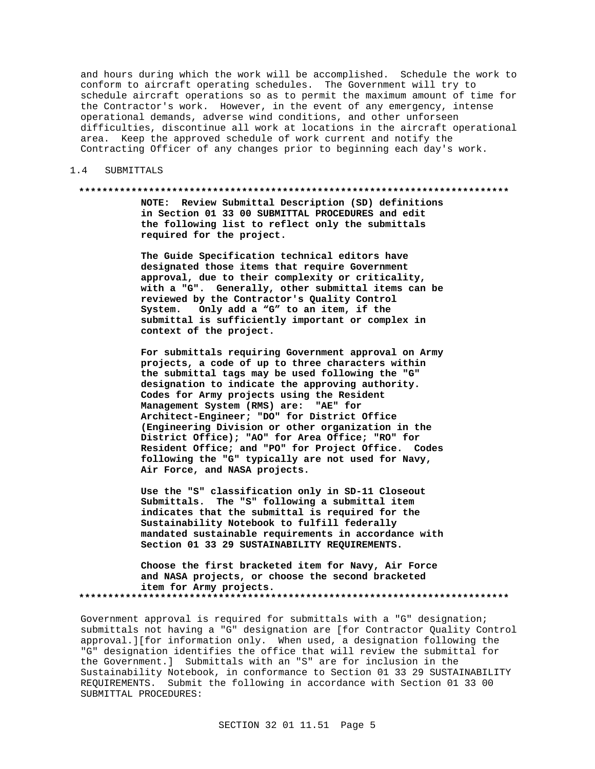and hours during which the work will be accomplished. Schedule the work to conform to aircraft operating schedules. The Government will try to schedule aircraft operations so as to permit the maximum amount of time for the Contractor's work. However, in the event of any emergency, intense operational demands, adverse wind conditions, and other unforseen difficulties, discontinue all work at locations in the aircraft operational area. Keep the approved schedule of work current and notify the Contracting Officer of any changes prior to beginning each day's work.

#### 1.4 SUBMITTALS

#### **\*\*\*\*\*\*\*\*\*\*\*\*\*\*\*\*\*\*\*\*\*\*\*\*\*\*\*\*\*\*\*\*\*\*\*\*\*\*\*\*\*\*\*\*\*\*\*\*\*\*\*\*\*\*\*\*\*\*\*\*\*\*\*\*\*\*\*\*\*\*\*\*\*\***

**NOTE: Review Submittal Description (SD) definitions in Section 01 33 00 SUBMITTAL PROCEDURES and edit the following list to reflect only the submittals required for the project.**

**The Guide Specification technical editors have designated those items that require Government approval, due to their complexity or criticality, with a "G". Generally, other submittal items can be reviewed by the Contractor's Quality Control System. Only add a "G" to an item, if the submittal is sufficiently important or complex in context of the project.**

**For submittals requiring Government approval on Army projects, a code of up to three characters within the submittal tags may be used following the "G" designation to indicate the approving authority. Codes for Army projects using the Resident Management System (RMS) are: "AE" for Architect-Engineer; "DO" for District Office (Engineering Division or other organization in the District Office); "AO" for Area Office; "RO" for Resident Office; and "PO" for Project Office. Codes following the "G" typically are not used for Navy, Air Force, and NASA projects.**

**Use the "S" classification only in SD-11 Closeout Submittals. The "S" following a submittal item indicates that the submittal is required for the Sustainability Notebook to fulfill federally mandated sustainable requirements in accordance with Section 01 33 29 SUSTAINABILITY REQUIREMENTS.**

**Choose the first bracketed item for Navy, Air Force and NASA projects, or choose the second bracketed item for Army projects. \*\*\*\*\*\*\*\*\*\*\*\*\*\*\*\*\*\*\*\*\*\*\*\*\*\*\*\*\*\*\*\*\*\*\*\*\*\*\*\*\*\*\*\*\*\*\*\*\*\*\*\*\*\*\*\*\*\*\*\*\*\*\*\*\*\*\*\*\*\*\*\*\*\***

Government approval is required for submittals with a "G" designation; submittals not having a "G" designation are [for Contractor Quality Control approval.][for information only. When used, a designation following the "G" designation identifies the office that will review the submittal for the Government.] Submittals with an "S" are for inclusion in the Sustainability Notebook, in conformance to Section 01 33 29 SUSTAINABILITY REQUIREMENTS. Submit the following in accordance with Section 01 33 00 SUBMITTAL PROCEDURES: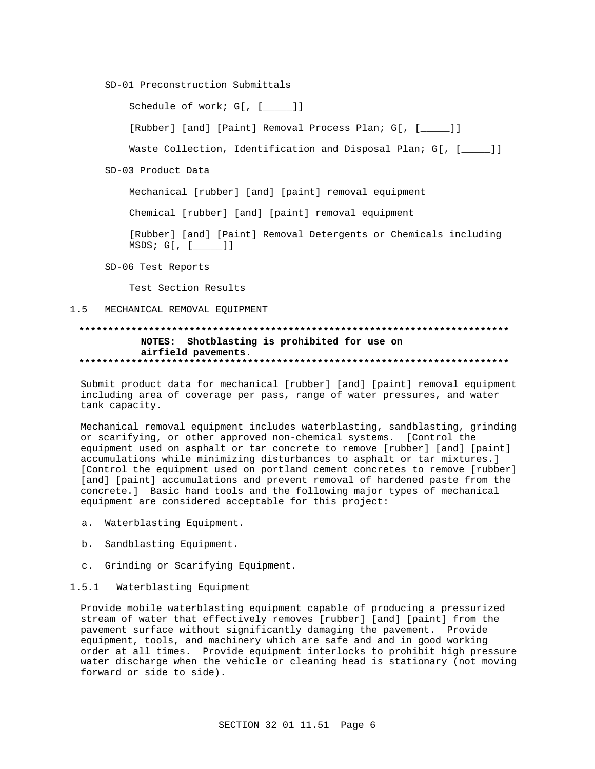SD-01 Preconstruction Submittals

Schedule of work; G[, [\_\_\_\_]]

[Rubber] [and] [Paint] Removal Process Plan; G[, [\_\_\_\_\_]]

Waste Collection, Identification and Disposal Plan; G[, [  $\qquad$  ]]

SD-03 Product Data

Mechanical [rubber] [and] [paint] removal equipment

Chemical [rubber] [and] [paint] removal equipment

[Rubber] [and] [Paint] Removal Detergents or Chemicals including MSDS; G[, [\_\_\_\_\_]]

SD-06 Test Reports

Test Section Results

## 1.5 MECHANICAL REMOVAL EQUIPMENT

## **\*\*\*\*\*\*\*\*\*\*\*\*\*\*\*\*\*\*\*\*\*\*\*\*\*\*\*\*\*\*\*\*\*\*\*\*\*\*\*\*\*\*\*\*\*\*\*\*\*\*\*\*\*\*\*\*\*\*\*\*\*\*\*\*\*\*\*\*\*\*\*\*\*\* NOTES: Shotblasting is prohibited for use on airfield pavements. \*\*\*\*\*\*\*\*\*\*\*\*\*\*\*\*\*\*\*\*\*\*\*\*\*\*\*\*\*\*\*\*\*\*\*\*\*\*\*\*\*\*\*\*\*\*\*\*\*\*\*\*\*\*\*\*\*\*\*\*\*\*\*\*\*\*\*\*\*\*\*\*\*\***

Submit product data for mechanical [rubber] [and] [paint] removal equipment including area of coverage per pass, range of water pressures, and water tank capacity.

Mechanical removal equipment includes waterblasting, sandblasting, grinding or scarifying, or other approved non-chemical systems. [Control the equipment used on asphalt or tar concrete to remove [rubber] [and] [paint] accumulations while minimizing disturbances to asphalt or tar mixtures.] [Control the equipment used on portland cement concretes to remove [rubber] [and] [paint] accumulations and prevent removal of hardened paste from the concrete.] Basic hand tools and the following major types of mechanical equipment are considered acceptable for this project:

- a. Waterblasting Equipment.
- b. Sandblasting Equipment.
- c. Grinding or Scarifying Equipment.
- 1.5.1 Waterblasting Equipment

Provide mobile waterblasting equipment capable of producing a pressurized stream of water that effectively removes [rubber] [and] [paint] from the pavement surface without significantly damaging the pavement. Provide equipment, tools, and machinery which are safe and and in good working order at all times. Provide equipment interlocks to prohibit high pressure water discharge when the vehicle or cleaning head is stationary (not moving forward or side to side).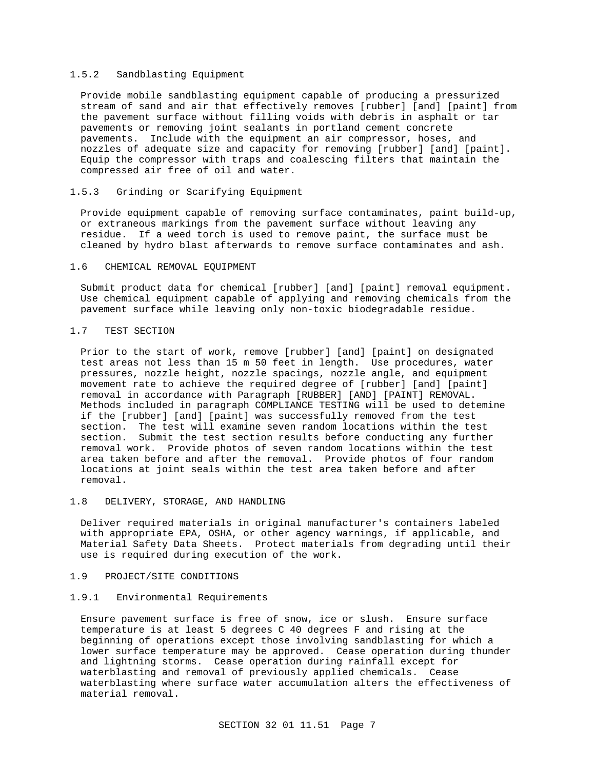## 1.5.2 Sandblasting Equipment

Provide mobile sandblasting equipment capable of producing a pressurized stream of sand and air that effectively removes [rubber] [and] [paint] from the pavement surface without filling voids with debris in asphalt or tar pavements or removing joint sealants in portland cement concrete pavements. Include with the equipment an air compressor, hoses, and nozzles of adequate size and capacity for removing [rubber] [and] [paint]. Equip the compressor with traps and coalescing filters that maintain the compressed air free of oil and water.

## 1.5.3 Grinding or Scarifying Equipment

Provide equipment capable of removing surface contaminates, paint build-up, or extraneous markings from the pavement surface without leaving any residue. If a weed torch is used to remove paint, the surface must be cleaned by hydro blast afterwards to remove surface contaminates and ash.

### 1.6 CHEMICAL REMOVAL EQUIPMENT

Submit product data for chemical [rubber] [and] [paint] removal equipment. Use chemical equipment capable of applying and removing chemicals from the pavement surface while leaving only non-toxic biodegradable residue.

### 1.7 TEST SECTION

Prior to the start of work, remove [rubber] [and] [paint] on designated test areas not less than 15 m 50 feet in length. Use procedures, water pressures, nozzle height, nozzle spacings, nozzle angle, and equipment movement rate to achieve the required degree of [rubber] [and] [paint] removal in accordance with Paragraph [RUBBER] [AND] [PAINT] REMOVAL. Methods included in paragraph COMPLIANCE TESTING will be used to detemine if the [rubber] [and] [paint] was successfully removed from the test section. The test will examine seven random locations within the test section. Submit the test section results before conducting any further removal work. Provide photos of seven random locations within the test area taken before and after the removal. Provide photos of four random locations at joint seals within the test area taken before and after removal.

# 1.8 DELIVERY, STORAGE, AND HANDLING

Deliver required materials in original manufacturer's containers labeled with appropriate EPA, OSHA, or other agency warnings, if applicable, and Material Safety Data Sheets. Protect materials from degrading until their use is required during execution of the work.

## 1.9 PROJECT/SITE CONDITIONS

## 1.9.1 Environmental Requirements

Ensure pavement surface is free of snow, ice or slush. Ensure surface temperature is at least 5 degrees C 40 degrees F and rising at the beginning of operations except those involving sandblasting for which a lower surface temperature may be approved. Cease operation during thunder and lightning storms. Cease operation during rainfall except for waterblasting and removal of previously applied chemicals. Cease waterblasting where surface water accumulation alters the effectiveness of material removal.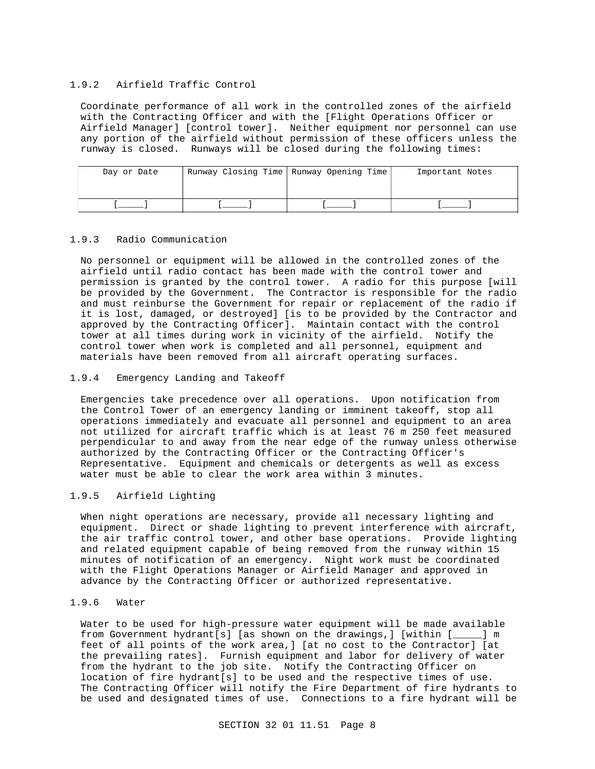# 1.9.2 Airfield Traffic Control

Coordinate performance of all work in the controlled zones of the airfield with the Contracting Officer and with the [Flight Operations Officer or Airfield Manager] [control tower]. Neither equipment nor personnel can use any portion of the airfield without permission of these officers unless the runway is closed. Runways will be closed during the following times:

| Day or Date | Runway Closing Time   Runway Opening Time | Important Notes |
|-------------|-------------------------------------------|-----------------|
|             |                                           |                 |
|             |                                           |                 |
|             |                                           |                 |

# 1.9.3 Radio Communication

No personnel or equipment will be allowed in the controlled zones of the airfield until radio contact has been made with the control tower and permission is granted by the control tower. A radio for this purpose [will be provided by the Government. The Contractor is responsible for the radio and must reinburse the Government for repair or replacement of the radio if it is lost, damaged, or destroyed] [is to be provided by the Contractor and approved by the Contracting Officer]. Maintain contact with the control tower at all times during work in vicinity of the airfield. Notify the control tower when work is completed and all personnel, equipment and materials have been removed from all aircraft operating surfaces.

## 1.9.4 Emergency Landing and Takeoff

Emergencies take precedence over all operations. Upon notification from the Control Tower of an emergency landing or imminent takeoff, stop all operations immediately and evacuate all personnel and equipment to an area not utilized for aircraft traffic which is at least 76 m 250 feet measured perpendicular to and away from the near edge of the runway unless otherwise authorized by the Contracting Officer or the Contracting Officer's Representative. Equipment and chemicals or detergents as well as excess water must be able to clear the work area within 3 minutes.

# 1.9.5 Airfield Lighting

When night operations are necessary, provide all necessary lighting and equipment. Direct or shade lighting to prevent interference with aircraft, the air traffic control tower, and other base operations. Provide lighting and related equipment capable of being removed from the runway within 15 minutes of notification of an emergency. Night work must be coordinated with the Flight Operations Manager or Airfield Manager and approved in advance by the Contracting Officer or authorized representative.

# 1.9.6 Water

Water to be used for high-pressure water equipment will be made available from Government hydrant[s] [as shown on the drawings,] [within [\_\_\_\_\_] m feet of all points of the work area,] [at no cost to the Contractor] [at the prevailing rates]. Furnish equipment and labor for delivery of water from the hydrant to the job site. Notify the Contracting Officer on location of fire hydrant[s] to be used and the respective times of use. The Contracting Officer will notify the Fire Department of fire hydrants to be used and designated times of use. Connections to a fire hydrant will be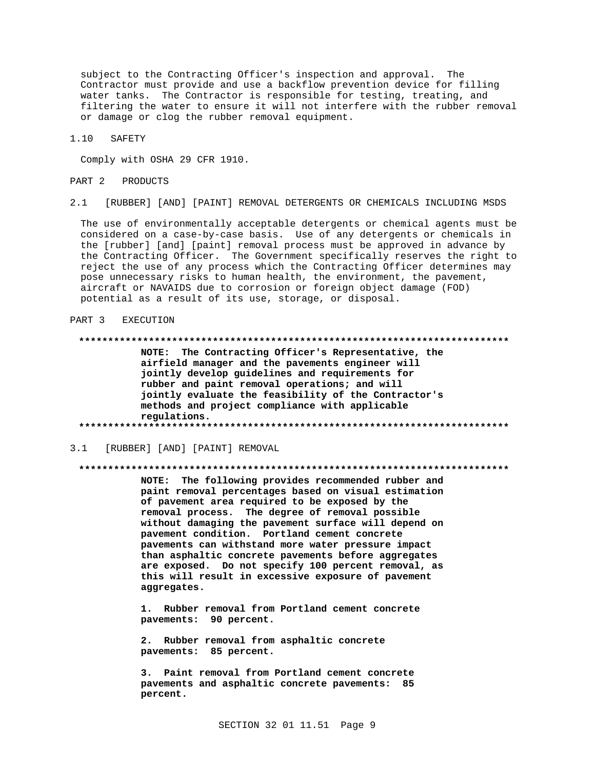subject to the Contracting Officer's inspection and approval. The Contractor must provide and use a backflow prevention device for filling water tanks. The Contractor is responsible for testing, treating, and filtering the water to ensure it will not interfere with the rubber removal or damage or clog the rubber removal equipment.

 $1.10$ SAFETY

Comply with OSHA 29 CFR 1910.

#### PART<sub>2</sub> PRODUCTS

 $2.1$ [RUBBER] [AND] [PAINT] REMOVAL DETERGENTS OR CHEMICALS INCLUDING MSDS

The use of environmentally acceptable detergents or chemical agents must be considered on a case-by-case basis. Use of any detergents or chemicals in the [rubber] [and] [paint] removal process must be approved in advance by the Contracting Officer. The Government specifically reserves the right to reject the use of any process which the Contracting Officer determines may pose unnecessary risks to human health, the environment, the pavement, aircraft or NAVAIDS due to corrosion or foreign object damage (FOD) potential as a result of its use, storage, or disposal.

#### PART 3 EXECUTION

NOTE: The Contracting Officer's Representative, the airfield manager and the pavements engineer will jointly develop guidelines and requirements for rubber and paint removal operations; and will jointly evaluate the feasibility of the Contractor's methods and project compliance with applicable regulations. 

[RUBBER] [AND] [PAINT] REMOVAL  $3.1$ 

#### 

NOTE: The following provides recommended rubber and paint removal percentages based on visual estimation of pavement area required to be exposed by the removal process. The degree of removal possible without damaging the pavement surface will depend on pavement condition. Portland cement concrete pavements can withstand more water pressure impact than asphaltic concrete pavements before aggregates are exposed. Do not specify 100 percent removal, as this will result in excessive exposure of pavement aggregates.

1. Rubber removal from Portland cement concrete pavements: 90 percent.

Rubber removal from asphaltic concrete  $2.$ pavements: 85 percent.

3. Paint removal from Portland cement concrete pavements and asphaltic concrete pavements: 85 percent.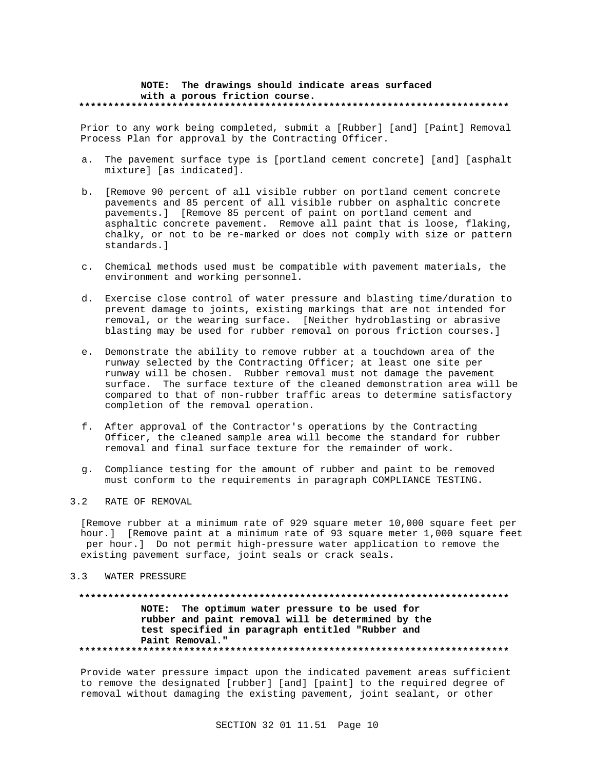### **NOTE: The drawings should indicate areas surfaced with a porous friction course. \*\*\*\*\*\*\*\*\*\*\*\*\*\*\*\*\*\*\*\*\*\*\*\*\*\*\*\*\*\*\*\*\*\*\*\*\*\*\*\*\*\*\*\*\*\*\*\*\*\*\*\*\*\*\*\*\*\*\*\*\*\*\*\*\*\*\*\*\*\*\*\*\*\***

Prior to any work being completed, submit a [Rubber] [and] [Paint] Removal Process Plan for approval by the Contracting Officer.

- a. The pavement surface type is [portland cement concrete] [and] [asphalt mixture] [as indicated].
- b. [Remove 90 percent of all visible rubber on portland cement concrete pavements and 85 percent of all visible rubber on asphaltic concrete pavements.] [Remove 85 percent of paint on portland cement and asphaltic concrete pavement. Remove all paint that is loose, flaking, chalky, or not to be re-marked or does not comply with size or pattern standards.]
- c. Chemical methods used must be compatible with pavement materials, the environment and working personnel.
- d. Exercise close control of water pressure and blasting time/duration to prevent damage to joints, existing markings that are not intended for removal, or the wearing surface. [Neither hydroblasting or abrasive blasting may be used for rubber removal on porous friction courses.]
- e. Demonstrate the ability to remove rubber at a touchdown area of the runway selected by the Contracting Officer; at least one site per runway will be chosen. Rubber removal must not damage the pavement surface. The surface texture of the cleaned demonstration area will be compared to that of non-rubber traffic areas to determine satisfactory completion of the removal operation.
- f. After approval of the Contractor's operations by the Contracting Officer, the cleaned sample area will become the standard for rubber removal and final surface texture for the remainder of work.
- g. Compliance testing for the amount of rubber and paint to be removed must conform to the requirements in paragraph COMPLIANCE TESTING.

## 3.2 RATE OF REMOVAL

[Remove rubber at a minimum rate of 929 square meter 10,000 square feet per hour.] [Remove paint at a minimum rate of 93 square meter 1,000 square feet per hour.] Do not permit high-pressure water application to remove the existing pavement surface, joint seals or crack seals.

## 3.3 WATER PRESSURE

# **\*\*\*\*\*\*\*\*\*\*\*\*\*\*\*\*\*\*\*\*\*\*\*\*\*\*\*\*\*\*\*\*\*\*\*\*\*\*\*\*\*\*\*\*\*\*\*\*\*\*\*\*\*\*\*\*\*\*\*\*\*\*\*\*\*\*\*\*\*\*\*\*\*\* NOTE: The optimum water pressure to be used for rubber and paint removal will be determined by the test specified in paragraph entitled "Rubber and Paint Removal." \*\*\*\*\*\*\*\*\*\*\*\*\*\*\*\*\*\*\*\*\*\*\*\*\*\*\*\*\*\*\*\*\*\*\*\*\*\*\*\*\*\*\*\*\*\*\*\*\*\*\*\*\*\*\*\*\*\*\*\*\*\*\*\*\*\*\*\*\*\*\*\*\*\***

Provide water pressure impact upon the indicated pavement areas sufficient to remove the designated [rubber] [and] [paint] to the required degree of removal without damaging the existing pavement, joint sealant, or other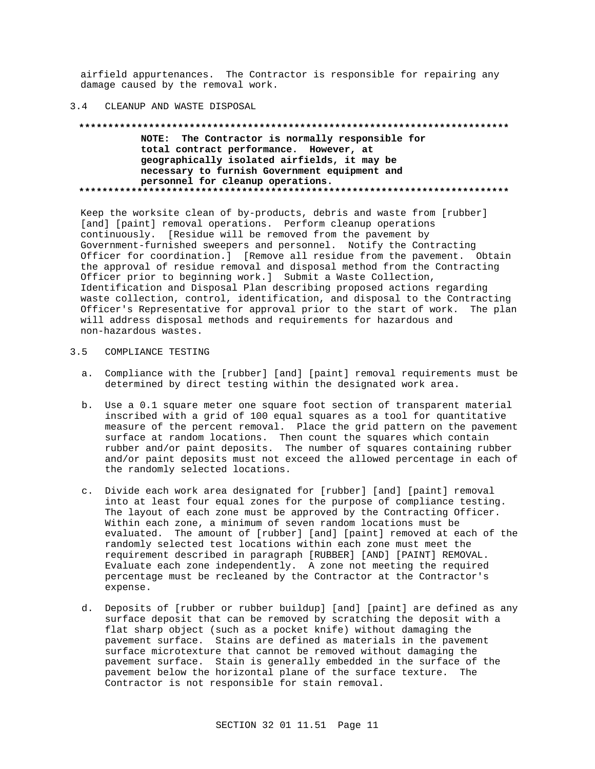airfield appurtenances. The Contractor is responsible for repairing any damage caused by the removal work.

#### CLEANUP AND WASTE DISPOSAL  $3\quad 4$

# NOTE: The Contractor is normally responsible for total contract performance. However, at geographically isolated airfields, it may be necessary to furnish Government equipment and personnel for cleanup operations.

Keep the worksite clean of by-products, debris and waste from [rubber] [and] [paint] removal operations. Perform cleanup operations continuously. [Residue will be removed from the pavement by Government-furnished sweepers and personnel. Notify the Contracting Officer for coordination.] [Remove all residue from the pavement. Obtain the approval of residue removal and disposal method from the Contracting Officer prior to beginning work.] Submit a Waste Collection, Identification and Disposal Plan describing proposed actions regarding waste collection, control, identification, and disposal to the Contracting Officer's Representative for approval prior to the start of work. The plan will address disposal methods and requirements for hazardous and non-hazardous wastes.

#### $3.5$ COMPLIANCE TESTING

- a. Compliance with the [rubber] [and] [paint] removal requirements must be determined by direct testing within the designated work area.
- b. Use a 0.1 square meter one square foot section of transparent material inscribed with a grid of 100 equal squares as a tool for quantitative measure of the percent removal. Place the grid pattern on the pavement surface at random locations. Then count the squares which contain rubber and/or paint deposits. The number of squares containing rubber and/or paint deposits must not exceed the allowed percentage in each of the randomly selected locations.
- c. Divide each work area designated for [rubber] [and] [paint] removal into at least four equal zones for the purpose of compliance testing. The layout of each zone must be approved by the Contracting Officer. Within each zone, a minimum of seven random locations must be evaluated. The amount of [rubber] [and] [paint] removed at each of the randomly selected test locations within each zone must meet the requirement described in paragraph [RUBBER] [AND] [PAINT] REMOVAL. Evaluate each zone independently. A zone not meeting the required percentage must be recleaned by the Contractor at the Contractor's expense.
- d. Deposits of [rubber or rubber buildup] [and] [paint] are defined as any surface deposit that can be removed by scratching the deposit with a flat sharp object (such as a pocket knife) without damaging the pavement surface. Stains are defined as materials in the pavement surface microtexture that cannot be removed without damaging the pavement surface. Stain is generally embedded in the surface of the pavement below the horizontal plane of the surface texture. The Contractor is not responsible for stain removal.